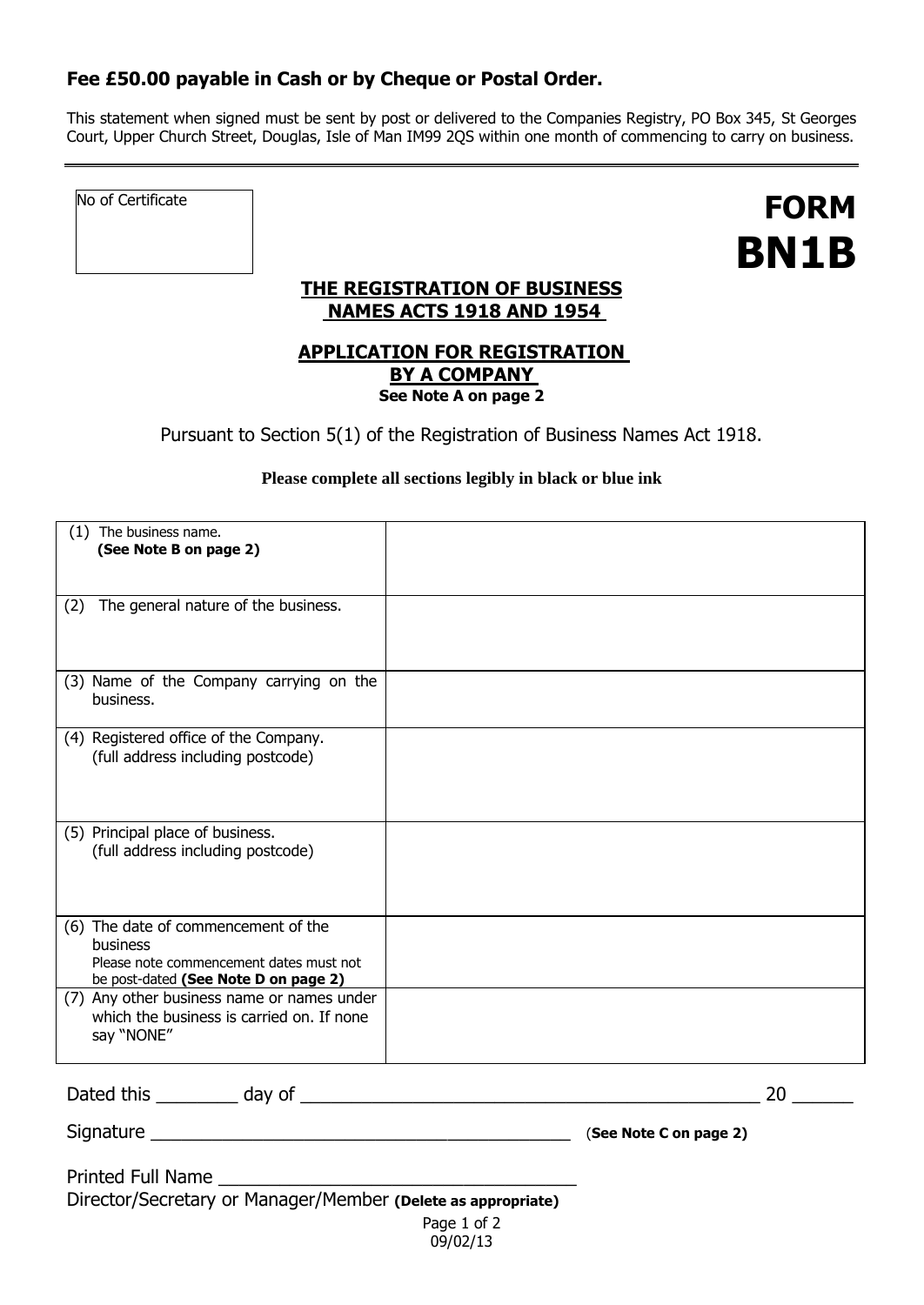## **Fee £50.00 payable in Cash or by Cheque or Postal Order.**

This statement when signed must be sent by post or delivered to the Companies Registry, PO Box 345, St Georges Court, Upper Church Street, Douglas, Isle of Man IM99 2QS within one month of commencing to carry on business.

No of Certificate

**FORM BN1B**

## **THE REGISTRATION OF BUSINESS NAMES ACTS 1918 AND 1954**

#### **APPLICATION FOR REGISTRATION BY A COMPANY See Note A on page 2**

Pursuant to Section 5(1) of the Registration of Business Names Act 1918.

#### **Please complete all sections legibly in black or blue ink**

| The business name.<br>(1)<br>(See Note B on page 2)                                                                                       |  |
|-------------------------------------------------------------------------------------------------------------------------------------------|--|
| The general nature of the business.<br>(2)                                                                                                |  |
| (3) Name of the Company carrying on the<br>business.                                                                                      |  |
| (4) Registered office of the Company.<br>(full address including postcode)                                                                |  |
| (5) Principal place of business.<br>(full address including postcode)                                                                     |  |
| (6) The date of commencement of the<br><b>business</b><br>Please note commencement dates must not<br>be post-dated (See Note D on page 2) |  |
| (7) Any other business name or names under<br>which the business is carried on. If none<br>say "NONE"                                     |  |

09/02/13

Dated this \_\_\_\_\_\_\_\_ day of \_\_\_\_\_\_\_\_\_\_\_\_\_\_\_\_\_\_\_\_\_\_\_\_\_\_\_\_\_\_\_\_\_\_\_\_\_\_\_\_\_\_\_\_\_ 20 \_\_\_\_\_\_

Signature \_\_\_\_\_\_\_\_\_\_\_\_\_\_\_\_\_\_\_\_\_\_\_\_\_\_\_\_\_\_\_\_\_\_\_\_\_\_\_\_\_ (**See Note C on page 2)**

| <b>Printed Full Name</b> |                                                              |
|--------------------------|--------------------------------------------------------------|
|                          | Director/Secretary or Manager/Member (Delete as appropriate) |
|                          | Page 1 of 2                                                  |